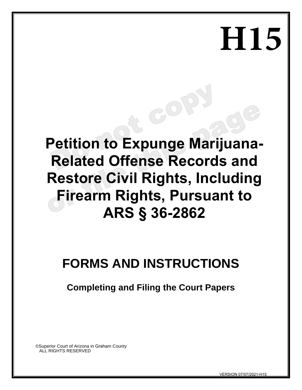# **H15**

# **Petition to Expunge Marijuana-Related Offense Records and Restore Civil Rights, Including Firearm Rights, Pursuant to ARS § 36-2862**

60

# **FORMS AND INSTRUCTIONS**

**Completing and Filing the Court Papers** 

©Superior Court of Arizona in Graham County ALL RIGHTS RESERVED

VERSION 07/07/2021-H15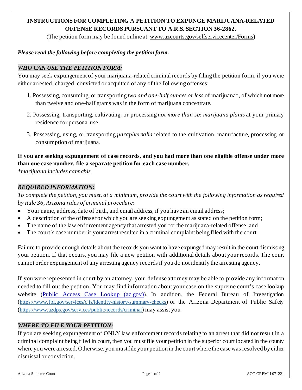# **INSTRUCTIONS FOR COMPLETING A PETITION TO EXPUNGE MARIJUANA-RELATED OFFENSE RECORDS PURSUANT TO A.R.S. SECTION 36-2862.**

(The petition form may be found online at: www.azcourts.gov/selfservicecenter/Forms)

## *Please read the following before completing the petition form.*

## *WHO CAN USE THE PETITION FORM:*

You may seek expungement of your marijuana-related criminal records by filing the petition form, if you were either arrested, charged, convicted or acquitted of any of the following offenses:

- 1. Possessing, consuming, or transporting *two and one-half ounces or less* of marijuana\*, of which not more than twelve and one-half grams was in the form of marijuana concentrate.
- 2. Possessing, transporting, cultivating, or processing *not more than six marijuana plants* at your primary residence for personal use.
- 3. Possessing, using, or transporting *paraphernalia* related to the cultivation, manufacture, processing, or consumption of marijuana.

# **If you are seeking expungement of case records, and you had more than one eligible offense under more than one case number, file a separate petition for each case number.**

*\*marijuana includes cannabis*

## *REQUIRED INFORMATION:*

*To complete the petition, you must, at a minimum, provide the court with the following information as required by Rule 36, Arizona rules of criminal procedure:*

- Your name, address, date of birth, and email address, if you have an email address;
- A description of the offense for which you are seeking expungement as stated on the petition form;
- The name of the law enforcement agency that arrested you for the marijuana-related offense; and
- The court's case number if your arrest resulted in a criminal complaint being filed with the court.

Failure to provide enough details about the records you want to have expunged may result in the court dismissing your petition. If that occurs, you may file a new petition with additional details about your records. The court cannot order expungement of any arresting agency records if you do not identify the arresting agency.

If you were represented in court by an attorney, your defense attorney may be able to provide any information needed to fill out the petition. You may find information about your case on the supreme court's case lookup website [\(Public Access Case Lookup \(az.gov\)\)](https://apps.supremecourt.az.gov/publicaccess/caselookup.aspx). In addition, the Federal Bureau of Investigation [\(https://www.fbi.gov/services/cjis/identity-history-summary-checks\)](https://www.fbi.gov/services/cjis/identity-history-summary-checks) or the Arizona Department of Public Safety [\(https://www.azdps.gov/services/public/records/criminal](https://www.azdps.gov/services/public/records/criminal)) may assist you.

# *WHERE TO FILE YOUR PETITION:*

If you are seeking expungement of ONLY law enforcement records relating to an arrest that did not result in a criminal complaint being filed in court, then you must file your petition in the superior court located in the county where you were arrested. Otherwise, you must file your petition in the court where the case was resolved by either dismissal or conviction.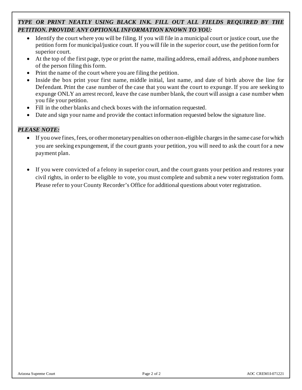# *TYPE OR PRINT NEATLY USING BLACK INK. FILL OUT ALL FIELDS REQUIRED BY THE PETITION. PROVIDE ANY OPTIONAL INFORMATION KNOWN TO YOU:*

- Identify the court where you will be filing. If you will file in a municipal court or justice court, use the petition form for municipal/justice court. If you will file in the superior court, use the petition form for superior court.
- At the top of the first page, type or print the name, mailing address, email address, and phone numbers of the person filing this form.
- Print the name of the court where you are filing the petition.
- Inside the box print your first name, middle initial, last name, and date of birth above the line for Defendant. Print the case number of the case that you want the court to expunge. If you are seeking to expunge ONLY an arrest record, leave the case number blank, the court will assign a case number when you file your petition.
- Fill in the other blanks and check boxes with the information requested.
- Date and sign your name and provide the contact information requested below the signature line.

#### *PLEASE NOTE:*

- If you owe fines, fees, or other monetary penalties on other non-eligible charges in the same case for which you are seeking expungement, if the court grants your petition, you will need to ask the court for a new payment plan.
- If you were convicted of a felony in superior court, and the court grants your petition and restores your civil rights, in order to be eligible to vote, you must complete and submit a new voter registration form. Please refer to your County Recorder's Office for additional questions about voter registration.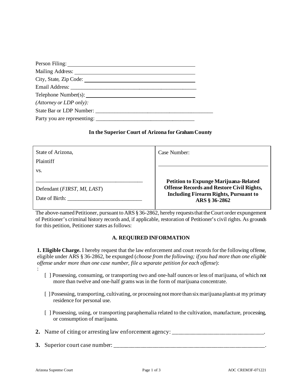| Person Filing:                                                                                                                                                                                                                 |  |
|--------------------------------------------------------------------------------------------------------------------------------------------------------------------------------------------------------------------------------|--|
| Mailing Address:                                                                                                                                                                                                               |  |
| City, State, Zip Code:                                                                                                                                                                                                         |  |
| Email Address: The Contract of the Contract of the Contract of the Contract of the Contract of the Contract of the Contract of the Contract of the Contract of the Contract of the Contract of the Contract of the Contract of |  |
| Telephone Number(s): 1999.                                                                                                                                                                                                     |  |
| (At torney or LDP only):                                                                                                                                                                                                       |  |
| State Bar or LDP Number:                                                                                                                                                                                                       |  |
| Party you are representing: ________                                                                                                                                                                                           |  |

#### **In the Superior Court of Arizona for Graham County**

| State of Arizona,                                    | Case Number:                                                  |
|------------------------------------------------------|---------------------------------------------------------------|
| <b>Plaintiff</b>                                     |                                                               |
| VS.                                                  |                                                               |
|                                                      | <b>Petition to Expunge Marijuana-Related</b>                  |
| Defendant ( <i>FIRST</i> , <i>MI</i> , <i>LAST</i> ) | <b>Offense Records and Restore Civil Rights,</b>              |
| Date of Birth:                                       | <b>Including Firearm Rights, Pursuant to</b><br>ARS § 36-2862 |

The above-named Petitioner, pursuant to ARS § 36-2862, hereby requests that the Court order expungement of Petitioner's criminal history records and, if applicable, restoration of Petitioner's civil rights. As grounds for this petition, Petitioner states as follows:

#### **A. REQUIRED INFORMATION**

**1. Eligible Charge.** I hereby request that the law enforcement and court records for the following offense, eligible under ARS § 36-2862, be expunged (*choose from the following; if you had more than one eligible offense under more than one case number, file a separate petition for each offense*):

- [ ] Possessing, consuming, or transporting two and one-half ounces or less of marijuana, of which not more than twelve and one-half grams was in the form of marijuana concentrate.
- [ ] Possessing, transporting, cultivating, or processing not more than six marijuana plants at my primary residence for personal use.
- [ ] Possessing, using, or transporting paraphernalia related to the cultivation, manufacture, processing, or consumption of marijuana.
- 2. Name of citing or arresting law enforcement agency: \_\_\_\_\_\_\_\_\_\_\_\_\_\_\_\_\_\_\_\_\_\_\_\_\_\_\_
- **3.** Superior court case number: \_\_\_\_\_\_\_\_\_\_\_\_\_\_\_\_\_\_\_\_\_\_\_\_\_\_\_\_\_\_\_\_\_\_\_\_\_\_\_\_\_\_\_\_\_\_\_\_\_\_\_.

: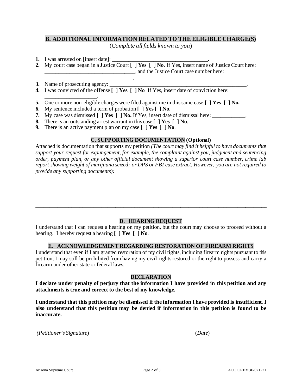#### **B. ADDITIONAL INFORMATION RELATED TO THE ELIGIBLE CHARGE(S)**

(*Complete all fields known to you*)

- **1.** I was arrested on [insert date]:
- **2.** My court case began in a Justice Court [ ] **Yes** [ ] **No**. If Yes, insert name of Justice Court here: \_\_\_\_\_\_\_\_\_\_\_\_\_\_\_\_\_\_\_\_\_\_\_\_\_\_\_\_\_\_\_\_\_, and the Justice Court case number here:
- **3.** Name of prosecuting agency:

\_\_\_\_\_\_\_\_\_\_\_\_\_\_\_\_\_\_\_\_\_\_\_\_\_\_\_\_\_\_\_\_.

- **4.** I was convicted of the offense **[ ] Yes [ ] No** If Yes, insert date of conviction here:
- \_\_\_\_\_\_\_\_\_\_\_\_\_\_\_\_\_\_\_. **5.** One or more non-eligible charges were filed against me in this same case **[ ] Yes [ ] No.**
- **6.** My sentence included a term of probation **[ ] Yes [ ] No.**
- **7.** My case was dismissed  $\begin{bmatrix} 1 \ \text{Yes} \end{bmatrix}$  No. If Yes, insert date of dismissal here:
- **8.** There is an outstanding arrest warrant in this case [ ] **Yes** [ ] **No**.
- **9.** There is an active payment plan on my case [ ] **Yes** [ ] **No**.

#### **C. SUPPORTING DOCUMENTATION (Optional)**

Attached is documentation that supports my petition *(The court may find it helpful to have documents that support your request for expungement, for example, the complaint against you, judgment and sentencing order, payment plan, or any other official document showing a superior court case number, crime lab report showing weight of marijuana seized; or DPS or FBI case extract. However, you are not required to provide any supporting documents):*

\_\_\_\_\_\_\_\_\_\_\_\_\_\_\_\_\_\_\_\_\_\_\_\_\_\_\_\_\_\_\_\_\_\_\_\_\_\_\_\_\_\_\_\_\_\_\_\_\_\_\_\_\_\_\_\_\_\_\_\_\_\_\_\_\_\_\_\_\_\_\_\_\_\_\_\_\_\_\_\_\_\_\_\_\_

#### **D. HEARING REQUEST**

\_\_\_\_\_\_\_\_\_\_\_\_\_\_\_\_\_\_\_\_\_\_\_\_\_\_\_\_\_\_\_\_\_\_\_\_\_\_\_\_\_\_\_\_\_\_\_\_\_\_\_\_\_\_\_\_\_\_\_\_\_\_\_\_\_\_\_\_\_\_\_\_\_\_\_\_\_\_\_\_\_\_\_\_\_

I understand that I can request a hearing on my petition, but the court may choose to proceed without a hearing. I hereby request a hearing **[ ] Yes [ ] No**.

#### **E. ACKNOWLEDGEMENT REGARDING RESTORATION OF FIREARM RIGHTS**

I understand that even if I am granted restoration of my civil rights, including firearm rights pursuant to this petition, I may still be prohibited from having my civil rights restored or the right to possess and carry a firearm under other state or federal laws.

#### **DECLARATION**

**I declare under penalty of perjury that the information I have provided in this petition and any attachments is true and correct to the best of my knowledge.** 

**I understand that this petition may be dismissed if the information I have provided is insufficient. I also understand that this petition may be denied if information in this petition is found to be inaccurate.** 

\_\_\_\_\_\_\_\_\_\_\_\_\_\_\_\_\_\_\_\_\_\_\_\_\_\_\_\_\_\_\_\_\_\_\_\_\_\_\_\_\_\_\_\_\_\_\_\_\_\_\_\_\_\_\_\_\_\_\_\_\_\_\_\_\_\_\_\_\_\_\_\_\_\_\_\_\_\_\_\_\_\_\_\_\_

*(Petitioner's Signature*) (*Date*)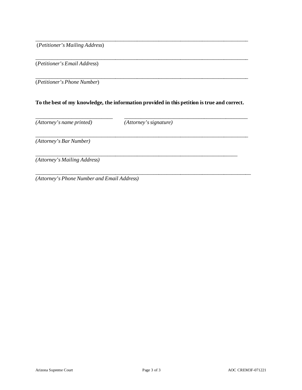(*Petitioner's Mailing Address*)

(*Petitioner's Email Address*)

\_\_\_\_\_\_\_\_\_\_\_\_\_\_\_\_\_\_\_\_\_\_\_\_\_\_\_\_\_\_\_\_\_\_\_\_\_\_\_\_\_\_\_\_\_\_\_\_\_\_\_\_\_\_\_\_\_\_\_\_\_\_\_\_\_\_\_\_\_\_\_\_\_\_\_\_\_\_ (*Petitioner's Phone Number*)

#### **To the best of my knowledge, the information provided in this petition is true and correct.**

\_\_\_\_\_\_\_\_\_\_\_\_\_\_\_\_\_\_\_\_\_\_\_\_\_\_\_\_ \_\_\_\_\_\_\_\_\_\_\_\_\_\_\_\_\_\_\_\_\_\_\_\_\_\_\_\_\_\_\_\_\_\_\_\_\_\_\_\_\_\_\_\_\_

\_\_\_\_\_\_\_\_\_\_\_\_\_\_\_\_\_\_\_\_\_\_\_\_\_\_\_\_\_\_\_\_\_\_\_\_\_\_\_\_\_\_\_\_\_\_\_\_\_\_\_\_\_\_\_\_\_\_\_\_\_\_\_\_\_\_\_\_\_\_\_\_\_\_\_\_\_\_

\_\_\_\_\_\_\_\_\_\_\_\_\_\_\_\_\_\_\_\_\_\_\_\_\_\_\_\_\_\_\_\_\_\_\_\_\_\_\_\_\_\_\_\_\_\_\_\_\_\_\_\_\_\_\_\_\_\_\_\_\_\_\_\_\_\_\_\_\_\_\_\_\_\_\_\_\_\_\_

\_\_\_\_\_\_\_\_\_\_\_\_\_\_\_\_\_\_\_\_\_\_\_\_\_\_\_\_\_\_\_\_\_\_\_\_\_\_\_\_\_\_\_\_\_\_\_\_\_\_\_\_\_\_\_\_\_\_\_\_\_\_\_\_\_\_\_\_\_\_\_\_\_\_\_\_\_\_

\_\_\_\_\_\_\_\_\_\_\_\_\_\_\_\_\_\_\_\_\_\_\_\_\_\_\_\_\_\_\_\_\_\_\_\_\_\_\_\_\_\_\_\_\_\_\_\_\_\_\_\_\_\_\_\_\_\_\_\_\_\_\_\_\_\_\_\_\_\_\_\_\_\_\_\_\_\_

*(Attorney's name printed) (Attorney's signature)* 

*(Attorney's Bar Number)*

\_\_\_\_\_\_\_\_\_\_\_\_\_\_\_\_\_\_\_\_\_\_\_\_\_\_\_\_\_\_\_\_\_\_\_\_\_\_\_\_\_\_\_\_\_\_\_\_\_\_\_\_\_\_\_\_\_\_\_\_\_\_\_\_\_\_\_\_\_\_\_\_\_\_ *(Attorney's Mailing Address)*

*(Attorney's Phone Number and Email Address)*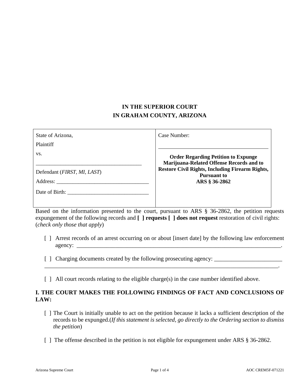# **IN THE SUPERIOR COURT IN GRAHAM COUNTY, ARIZONA**

| State of Arizona,                                    | Case Number:                                                                           |
|------------------------------------------------------|----------------------------------------------------------------------------------------|
| Plaintiff                                            |                                                                                        |
| VS.                                                  | <b>Order Regarding Petition to Expunge</b><br>Marijuana-Related Offense Records and to |
| Defendant ( <i>FIRST</i> , <i>MI</i> , <i>LAST</i> ) | <b>Restore Civil Rights, Including Firearm Rights,</b><br><b>Pursuant to</b>           |
|                                                      | ARS § 36-2862                                                                          |
| Date of Birth:                                       |                                                                                        |

Based on the information presented to the court, pursuant to ARS § 36-2862, the petition requests expungement of the following records and [ ] **requests** [ ] **does not request** restoration of civil rights: (*check only those that apply*)

[ ] Arrest records of an arrest occurring on or about [insert date] by the following law enforcement agency:

\_\_\_\_\_\_\_\_\_\_\_\_\_\_\_\_\_\_\_\_\_\_\_\_\_\_\_\_\_\_\_\_\_\_\_\_\_\_\_\_\_\_\_\_\_\_\_\_\_\_\_\_\_\_\_\_\_\_\_\_\_\_\_\_\_\_\_\_\_\_\_\_\_\_\_\_\_\_\_.

- [ ] Charging documents created by the following prosecuting agency: \_\_\_\_\_\_\_\_\_\_\_\_\_\_\_\_\_\_\_\_\_\_\_
- [] All court records relating to the eligible charge(s) in the case number identified above.

#### **I. THE COURT MAKES THE FOLLOWING FINDINGS OF FACT AND CONCLUSIONS OF LAW:**

- [ ] The Court is initially unable to act on the petition because it lacks a sufficient description of the records to be expunged.(*If this statement is selected, go directly to the Ordering section to dismiss the petition*)
- [] The offense described in the petition is not eligible for expungement under ARS § 36-2862.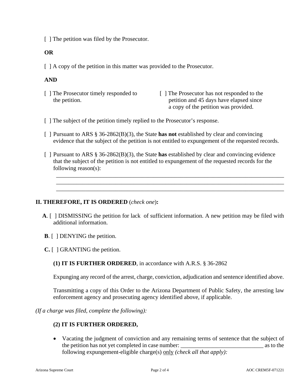[ ] The petition was filed by the Prosecutor.

#### **OR**

[ ] A copy of the petition in this matter was provided to the Prosecutor.

#### **AND**

[ ] The Prosecutor timely responded to [ ] The Prosecutor has not responded to the the petition. petition and 45 days have elapsed since a copy of the petition was provided.

- [] The subject of the petition timely replied to the Prosecutor's response.
- [ ] Pursuant to ARS § 36-2862(B)(3), the State **has not** established by clear and convincing evidence that the subject of the petition is not entitled to expungement of the requested records.
- [ ] Pursuant to ARS § 36-2862(B)(3), the State **has** established by clear and convincing evidence that the subject of the petition is not entitled to expungement of the requested records for the following reason(s):

 \_\_\_\_\_\_\_\_\_\_\_\_\_\_\_\_\_\_\_\_\_\_\_\_\_\_\_\_\_\_\_\_\_\_\_\_\_\_\_\_\_\_\_\_\_\_\_\_\_\_\_\_\_\_\_\_\_\_\_\_\_\_\_\_\_\_\_\_\_\_\_\_\_\_\_\_\_ \_\_\_\_\_\_\_\_\_\_\_\_\_\_\_\_\_\_\_\_\_\_\_\_\_\_\_\_\_\_\_\_\_\_\_\_\_\_\_\_\_\_\_\_\_\_\_\_\_\_\_\_\_\_\_\_\_\_\_\_\_\_\_\_\_\_\_\_\_\_\_\_\_\_\_\_\_ \_\_\_\_\_\_\_\_\_\_\_\_\_\_\_\_\_\_\_\_\_\_\_\_\_\_\_\_\_\_\_\_\_\_\_\_\_\_\_\_\_\_\_\_\_\_\_\_\_\_\_\_\_\_\_\_\_\_\_\_\_\_\_\_\_\_\_\_\_\_\_\_\_\_\_\_\_

#### **II. THEREFORE, IT IS ORDERED** (*check one*)**:**

- **A**. [ ] DISMISSING the petition for lack of sufficient information. A new petition may be filed with additional information.
- **B**. [ ] DENYING the petition.
- **C.** [ ] GRANTING the petition.
	- **(1) IT IS FURTHER ORDERED**, in accordance with A.R.S. § 36-2862

Expunging any record of the arrest, charge, conviction, adjudication and sentence identified above.

Transmitting a copy of this Order to the Arizona Department of Public Safety, the arresting law enforcement agency and prosecuting agency identified above, if applicable.

*(If a charge was filed, complete the following):* 

#### **(2) IT IS FURTHER ORDERED,**

• Vacating the judgment of conviction and any remaining terms of sentence that the subject of the petition has not yet completed in case number:  $\Box$  as to the following expungement-eligible charge(s) only *(check all that apply):*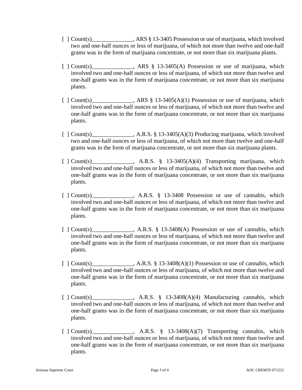- [ ] Count(s) \_\_\_\_\_\_\_\_\_\_\_, ARS § 13-3405 Possession or use of marijuana, which involved two and one-half ounces or less of marijuana, of which not more than twelve and one-half grams was in the form of marijuana concentrate, or not more than six marijuana plants.
- [ ] Count(s) Res § 13-3405(A) Possession or use of marijuana, which involved two and one-half ounces or less of marijuana, of which not more than twelve and one-half grams was in the form of marijuana concentrate, or not more than six marijuana plants.
- $\lceil$   $\lceil$  Count(s) Reserve Left ARS § 13-3405(A)(1) Possession or use of marijuana, which involved two and one-half ounces or less of marijuana, of which not more than twelve and one-half grams was in the form of marijuana concentrate, or not more than six marijuana plants.
- [ ] Count(s) \_\_\_\_\_\_\_\_\_\_\_\_\_, A.R.S. § 13-3405(A)(3) Producing marijuana, which involved two and one-half ounces or less of marijuana, of which not more than twelve and one-half grams was in the form of marijuana concentrate, or not more than six marijuana plants.
- [ ] Count(s) \_\_\_\_\_\_\_\_\_\_, A.R.S. § 13-3405(A)(4) Transporting marijuana, which involved two and one-half ounces or less of marijuana, of which not more than twelve and one-half grams was in the form of marijuana concentrate, or not more than six marijuana plants.
- [ ] Count(s) A.R.S. § 13-3408 Possession or use of cannabis, which involved two and one-half ounces or less of marijuana, of which not more than twelve and one-half grams was in the form of marijuana concentrate, or not more than six marijuana plants.
- [ ] Count(s) \_\_\_\_\_\_\_\_\_\_\_, A.R.S. § 13-3408(A) Possession or use of cannabis, which involved two and one-half ounces or less of marijuana, of which not more than twelve and one-half grams was in the form of marijuana concentrate, or not more than six marijuana plants.
- [  $1$  Count(s)  $\qquad \qquad$  A.R.S. § 13-3408(A)(1) Possession or use of cannabis, which involved two and one-half ounces or less of marijuana, of which not more than twelve and one-half grams was in the form of marijuana concentrate, or not more than six marijuana plants.
- [ ] Count(s)  $\qquad \qquad$ , A.R.S. § 13-3408(A)(4) Manufacturing cannabis, which involved two and one-half ounces or less of marijuana, of which not more than twelve and one-half grams was in the form of marijuana concentrate, or not more than six marijuana plants.
- [  $\vert$  Count(s) A.R.S. § 13-3408(A)(7) Transporting cannabis, which involved two and one-half ounces or less of marijuana, of which not more than twelve and one-half grams was in the form of marijuana concentrate, or not more than six marijuana plants.